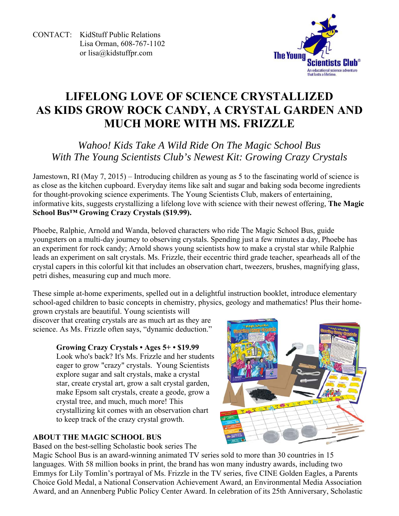CONTACT: KidStuff Public Relations Lisa Orman, 608-767-1102 or lisa@kidstuffpr.com



# **LIFELONG LOVE OF SCIENCE CRYSTALLIZED AS KIDS GROW ROCK CANDY, A CRYSTAL GARDEN AND MUCH MORE WITH MS. FRIZZLE**

*Wahoo! Kids Take A Wild Ride On The Magic School Bus With The Young Scientists Club's Newest Kit: Growing Crazy Crystals* 

Jamestown, RI (May 7, 2015) – Introducing children as young as 5 to the fascinating world of science is as close as the kitchen cupboard. Everyday items like salt and sugar and baking soda become ingredients for thought-provoking science experiments. The Young Scientists Club, makers of entertaining, informative kits, suggests crystallizing a lifelong love with science with their newest offering, **The Magic School Bus™ Growing Crazy Crystals (\$19.99).** 

Phoebe, Ralphie, Arnold and Wanda, beloved characters who ride The Magic School Bus, guide youngsters on a multi-day journey to observing crystals. Spending just a few minutes a day, Phoebe has an experiment for rock candy; Arnold shows young scientists how to make a crystal star while Ralphie leads an experiment on salt crystals. Ms. Frizzle, their eccentric third grade teacher, spearheads all of the crystal capers in this colorful kit that includes an observation chart, tweezers, brushes, magnifying glass, petri dishes, measuring cup and much more.

These simple at-home experiments, spelled out in a delightful instruction booklet, introduce elementary school-aged children to basic concepts in chemistry, physics, geology and mathematics! Plus their home-

grown crystals are beautiful. Young scientists will discover that creating crystals are as much art as they are science. As Ms. Frizzle often says, "dynamic deduction."

### **Growing Crazy Crystals • Ages 5+ • \$19.99**

Look who's back? It's Ms. Frizzle and her students eager to grow "crazy" crystals. Young Scientists explore sugar and salt crystals, make a crystal star, create crystal art, grow a salt crystal garden, make Epsom salt crystals, create a geode, grow a crystal tree, and much, much more! This crystallizing kit comes with an observation chart to keep track of the crazy crystal growth.

### **ABOUT THE MAGIC SCHOOL BUS**

Based on the best-selling Scholastic book series The

Magic School Bus is an award-winning animated TV series sold to more than 30 countries in 15 languages. With 58 million books in print, the brand has won many industry awards, including two Emmys for Lily Tomlin's portrayal of Ms. Frizzle in the TV series, five CINE Golden Eagles, a Parents Choice Gold Medal, a National Conservation Achievement Award, an Environmental Media Association Award, and an Annenberg Public Policy Center Award. In celebration of its 25th Anniversary, Scholastic